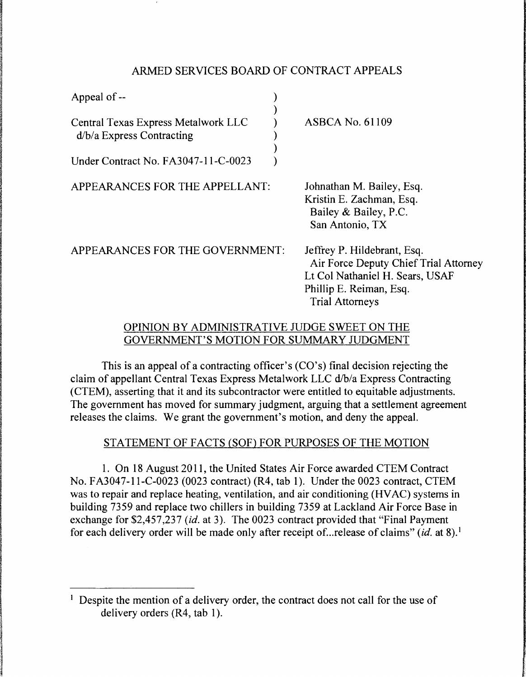## ARMED SERVICES BOARD OF CONTRACT APPEALS

| Appeal of --                                                       |                                                                                                                                    |
|--------------------------------------------------------------------|------------------------------------------------------------------------------------------------------------------------------------|
| Central Texas Express Metalwork LLC<br>$d/b/a$ Express Contracting | <b>ASBCA No. 61109</b>                                                                                                             |
| Under Contract No. FA3047-11-C-0023                                |                                                                                                                                    |
| APPEARANCES FOR THE APPELLANT:                                     | Johnathan M. Bailey, Esq.<br>Kristin E. Zachman, Esq.<br>Bailey & Bailey, P.C.<br>San Antonio, TX                                  |
| APPEARANCES FOR THE GOVERNMENT:                                    | Jeffrey P. Hildebrant, Esq.<br>Air Force Deputy Chief Trial Attorney<br>Lt Col Nathaniel H. Sears, USAF<br>Phillip E. Reiman, Esq. |

## OPINION BY ADMINISTRATIVE JUDGE SWEET ON THE GOVERNMENT'S MOTION FOR SUMMARY JUDGMENT

Trial Attorneys

This is an appeal of a contracting officer's (CO's) final decision rejecting the claim of appellant Central Texas Express Metalwork LLC d/b/a Express Contracting (CTEM), asserting that it and its subcontractor were entitled to equitable adjustments. The government has moved for summary judgment, arguing that a settlement agreement releases the claims. We grant the government's motion, and deny the appeal.

# STATEMENT OF FACTS (SOF) FOR PURPOSES OF THE MOTION

1. On 18 August 2011, the United States Air Force awarded CTEM Contract No. FA3047-11-C-0023 (0023 contract) (R4, tab 1). Under the 0023 contract, CTEM was to repair and replace heating, ventilation, and air conditioning (HVAC) systems in building 7359 and replace two chillers in building 7359 at Lackland Air Force Base in exchange for \$2,457,237 *(id.* at 3). The 0023 contract provided that "Final Payment for each delivery order will be made only after receipt of ... release of claims" *(id.* at 8). <sup>1</sup>

<sup>&</sup>lt;sup>1</sup> Despite the mention of a delivery order, the contract does not call for the use of delivery orders (R4, tab 1).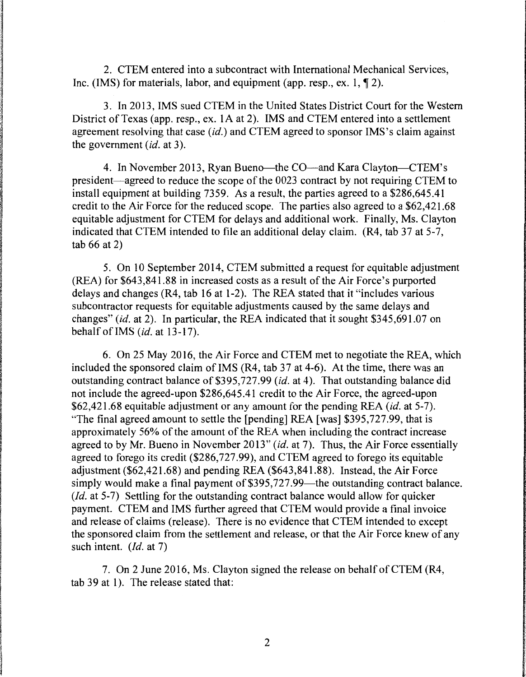2. CTEM entered into a subcontract with International Mechanical Services, Inc. (IMS) for materials, labor, and equipment (app. resp., ex. 1,  $\P$  2).

3. In 2013, IMS sued CTEM in the United States District Court for the Western District of Texas (app. resp., ex. lA at 2). IMS and CTEM entered into a settlement agreement resolving that case *(id.)* and CTEM agreed to sponsor IMS's claim against the government *(id.* at 3).

4. In November 2013, Ryan Bueno—the CO—and Kara Clayton—CTEM's president-agreed to reduce the scope of the 0023 contract by not requiring CTEM to install equipment at building 7359. As a result, the parties agreed to a \$286,645.41 credit to the Air Force for the reduced scope. The parties also agreed to a \$62,421.68 equitable adjustment for CTEM for delays and additional work. Finally, Ms. Clayton indicated that CTEM intended to file an additional delay claim.  $(R4, tab 37 at 5-7,$ tab 66 at 2)

5. On 10 September 2014, CTEM submitted a request for equitable adjustment (REA) for \$643,841.88 in increased costs as a result of the Air Force's purported delays and changes (R4, tab 16 at 1-2). The REA stated that it "includes various subcontractor requests for equitable adjustments caused by the same delays and changes" *(id.* at 2). In particular, the REA indicated that it sought \$345,691.07 on behalf of IMS *(id.* at 13-17).

6. On 25 May 2016, the Air Force and CTEM met to negotiate the REA, which included the sponsored claim of IMS (R4, tab 37 at 4-6). At the time, there was an outstanding contract balance of \$395,727.99 *(id.* at 4). That outstanding balance did not include the agreed-upon \$286,645.41 credit to the Air Force, the agreed-upon \$62,421.68 equitable adjustment or any amount for the pending REA *(id.* at 5-7). "The final agreed amount to settle the [pending] REA [was] \$395,727.99, that is approximately 56% of the amount of the REA when including the contract increase agreed to by Mr. Bueno in November 2013" *(id.* at 7). Thus, the Air Force essentially agreed to forego its credit (\$286,727.99), and CTEM agreed to forego its equitable adjustment (\$62,421.68) and pending REA (\$643,841.88). Instead, the Air Force simply would make a final payment of \$395,727.99—the outstanding contract balance. *(Id.* at 5-7) Settling for the outstanding contract balance would allow for quicker payment. CTEM and IMS further agreed that CTEM would provide a final invoice and release of claims (release). There is no evidence that CTEM intended to except the sponsored claim from the settlement and release, or that the Air Force knew of any such intent. *(Id. at 7)* 

7. On 2 June 2016, Ms. Clayton signed the release on behalf of CTEM (R4, tab 39 at 1). The release stated that: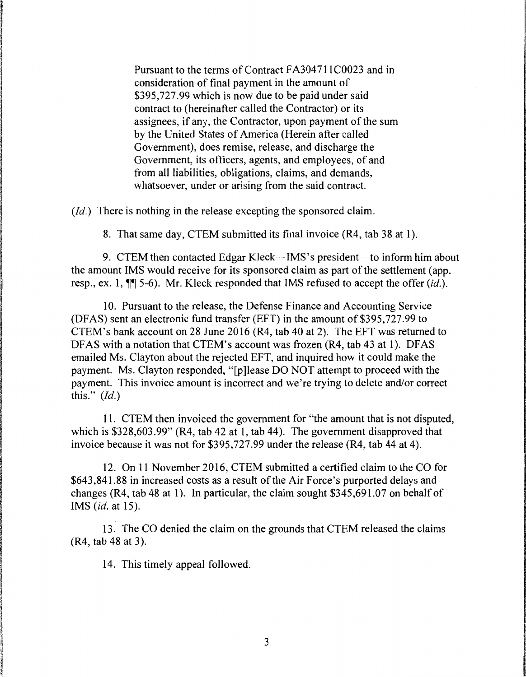Pursuant to the terms of Contract FA304711C0023 and in consideration of final payment in the amount of \$395,727.99 which is now due to be paid under said contract to (hereinafter called the Contractor) or its assignees, if any, the Contractor, upon payment of the sum by the United States of America (Herein after called Government), does remise, release, and discharge the Government, its officers, agents, and employees, of and from all liabilities, obligations, claims, and demands, whatsoever, under or arising from the said contract.

*(Id.)* There is nothing in the release excepting the sponsored claim.

8. That same day, CTEM submitted its final invoice (R4, tab 38 at 1).

9. CTEM then contacted Edgar Kleck—IMS's president—to inform him about the amount IMS would receive for its sponsored claim as part of the settlement (app. resp., ex. 1,  $\P$  5-6). Mr. Kleck responded that IMS refused to accept the offer *(id.)*.

10. Pursuant to the release, the Defense Finance and Accounting Service (DF AS) sent an electronic fund transfer (EFT) in the amount of \$395, 727 .99 to CTEM's bank account on 28 June 2016 (R4, tab 40 at 2). The EFT was returned to DFAS with a notation that CTEM's account was frozen (R4, tab 43 at 1). DFAS emailed Ms. Clayton about the rejected EFT, and inquired how it could make the payment. Ms. Clayton responded, "[p]lease DO NOT attempt to proceed with the payment. This invoice amount is incorrect and we're trying to delete and/or correct this." *(Id.)* 

11. CTEM then invoiced the government for "the amount that is not disputed, which is \$328,603.99" (R4, tab 42 at 1, tab 44). The government disapproved that invoice because it was not for \$395,727.99 under the release (R4, tab 44 at 4).

12. On 11 November 2016, CTEM submitted a certified claim to the CO for \$643,841.88 in increased costs as a result of the Air Force's purported delays and changes (R4, tab 48 at 1). In particular, the claim sought  $$345,691.07$  on behalf of IMS *(id.* at 15).

13. The CO denied the claim on the grounds that CTEM released the claims (R4, tab 48 at 3).

14. This timely appeal followed.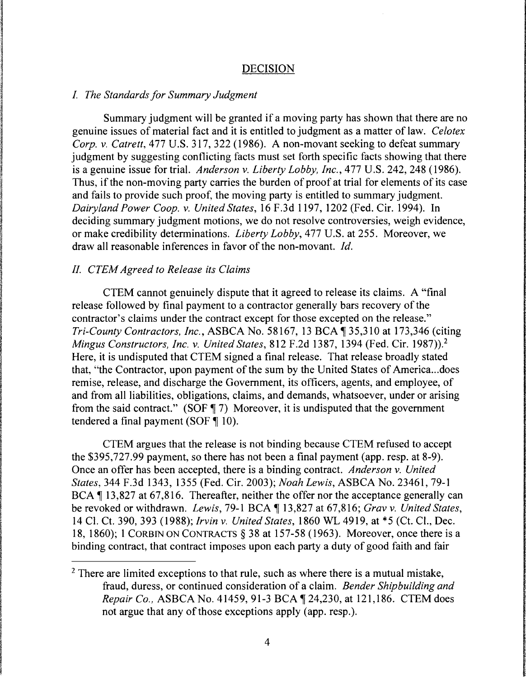### DECISION

#### *I. The Standards for Summary Judgment*

Summary judgment will be granted if a moving party has shown that there are no genuine issues of material fact and it is entitled to judgment as a matter of law. *Celotex Corp. v. Catrett,* 477 U.S. 317, 322 (1986). A non-movant seeking to defeat summary judgment by suggesting conflicting facts must set forth specific facts showing that there is a genuine issue for trial. *Anderson v. Liberty Lobby, Inc.,* 477 U.S. 242, 248 (1986). Thus, if the non-moving party carries the burden of proof at trial for elements of its case and fails to provide such proof, the moving party is entitled to summary judgment. *Dairyland Power Coop. v. United States,* 16 F.3d 1197, 1202 (Fed. Cir. 1994). In deciding summary judgment motions, we do not resolve controversies, weigh evidence, or make credibility determinations. *Liberty Lobby,* 477 U.S. at 255. Moreover, we draw all reasonable inferences in favor of the non-movant. *Id.* 

### *II. CTEM Agreed to Release its Claims*

CTEM cannot genuinely dispute that it agreed to release its claims. A "final release followed by final payment to a contractor generally bars recovery of the contractor's claims under the contract except for those excepted on the release." *Tri-County Contractors, Inc., ASBCA No.* 58167, 13 BCA ¶ 35,310 at 173,346 (citing *Mingus Constructors, Inc. v. United States,* 812 F.2d 1387, 1394 (Fed. Cir. 1987)).<sup>2</sup> Here, it is undisputed that CTEM signed a final release. That release broadly stated that, "the Contractor, upon payment of the sum by the United States of America ... does remise, release, and discharge the Government, its officers, agents, and employee, of and from all liabilities, obligations, claims, and demands, whatsoever, under or arising from the said contract." (SOF  $\parallel$  7) Moreover, it is undisputed that the government tendered a final payment (SOF  $\P$  10).

CTEM argues that the release is not binding because CTEM refused to accept the \$395,727.99 payment, so there has not been a final payment (app. resp. at 8-9). Once an offer has been accepted, there is a binding contract. *Anderson v. United States,* 344 F.3d 1343, 1355 (Fed. Cir. 2003); *Noah Lewis,* ASBCA No. 23461, 79-1 BCA  $\parallel$  13,827 at 67,816. Thereafter, neither the offer nor the acceptance generally can be revoked or withdrawn. *Lewis*, 79-1 BCA ¶ 13,827 at 67,816; *Grav v. United States*, 14 Cl. Ct. 390, 393 (1988); *Irvin v. United States,* 1860 WL 4919, at \*5 (Ct. Cl., Dec. 18, 1860); 1 CORBIN ON CONTRACTS§ 38 at 157-58 (1963). Moreover, once there is a binding contract, that contract imposes upon each party a duty of good faith and fair

 $2$  There are limited exceptions to that rule, such as where there is a mutual mistake, fraud, duress, or continued consideration of a claim. *Bender Shipbuilding and Repair Co., ASBCA No. 41459, 91-3 BCA* 124,230, at 121,186. CTEM does not argue that any of those exceptions apply (app. resp.).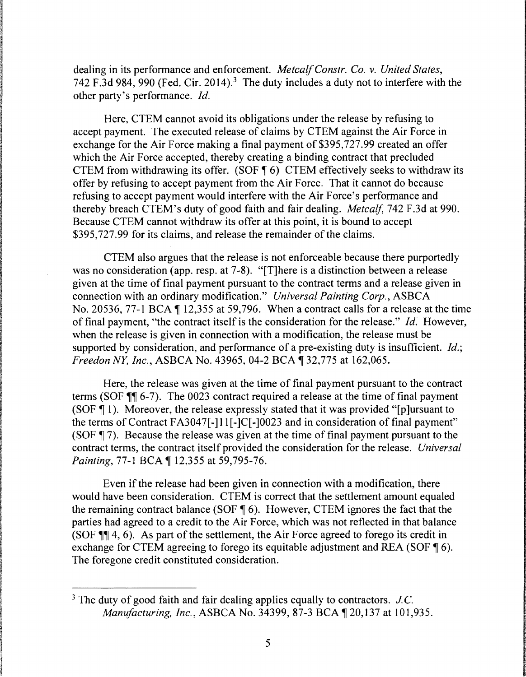dealing in its performance and enforcement. *Metcalf Constr. Co. v. United States,*  742 F.3d 984, 990 (Fed. Cir. 2014).<sup>3</sup> The duty includes a duty not to interfere with the other party's performance. *Id.* 

Here, CTEM cannot avoid its obligations under the release by refusing to accept payment. The executed release of claims by CTEM against the Air Force in exchange for the Air Force making a final payment of \$395,727.99 created an offer which the Air Force accepted, thereby creating a binding contract that precluded CTEM from withdrawing its offer. (SOF  $\text{\degree}$  6) CTEM effectively seeks to withdraw its offer by refusing to accept payment from the Air Force. That it cannot do because refusing to accept payment would interfere with the Air Force's performance and thereby breach CTEM's duty of good faith and fair dealing. *Metcalf,* 742 F.3d at 990. Because CTEM cannot withdraw its offer at this point, it is bound to accept \$395,727.99 for its claims, and release the remainder of the claims.

CTEM also argues that the release is not enforceable because there purportedly was no consideration (app. resp. at 7-8). "[T]here is a distinction between a release given at the time of final payment pursuant to the contract terms and a release given in connection with an ordinary modification." *Universal Painting Corp.,* ASBCA No. 20536, 77-1 BCA  $\P$  12,355 at 59,796. When a contract calls for a release at the time of final payment, "the contract itself is the consideration for the release." *Id.* However, when the release is given in connection with a modification, the release must be supported by consideration, and performance of a pre-existing duty is insufficient. *Id.; Freedon NY, Inc., ASBCA No.* 43965, 04-2 BCA ¶ 32,775 at 162,065.

Here, the release was given at the time of final payment pursuant to the contract terms (SOF  $\mathbb{M}$  6-7). The 0023 contract required a release at the time of final payment (SOF  $\P$  1). Moreover, the release expressly stated that it was provided "[p] ursuant to the terms of Contract FA3047[-]11[-]C[-]0023 and in consideration of final payment" (SOF  $\parallel$  7). Because the release was given at the time of final payment pursuant to the contract terms, the contract itself provided the consideration for the release. *Universal Painting, 77-1 BCA* 12,355 at 59,795-76.

Even if the release had been given in connection with a modification, there would have been consideration. CTEM is correct that the settlement amount equaled the remaining contract balance (SOF  $\P$  6). However, CTEM ignores the fact that the parties had agreed to a credit to the Air Force, which was not reflected in that balance (SOF  $\P$  $\parallel$  4, 6). As part of the settlement, the Air Force agreed to forego its credit in exchange for CTEM agreeing to forego its equitable adjustment and REA (SOF  $\llbracket 6$ ). The foregone credit constituted consideration.

<sup>3</sup> The duty of good faith and fair dealing applies equally to contractors. *J.C. Manufacturing, Inc., ASBCA No.* 34399, 87-3 BCA ¶ 20,137 at 101,935.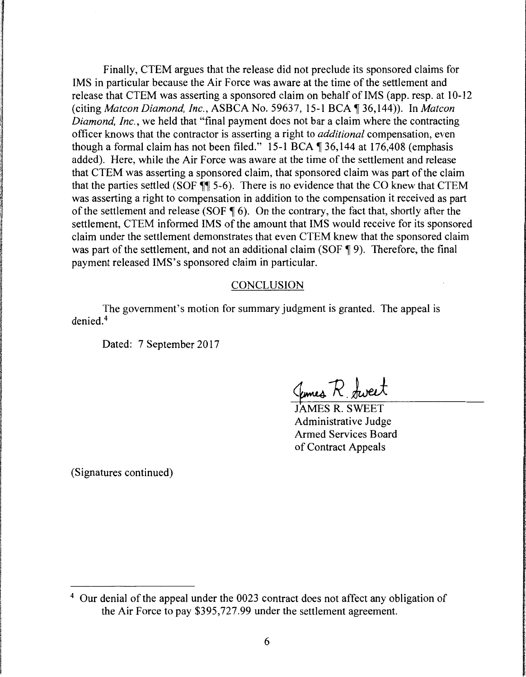Finally, CTEM argues that the release did not preclude its sponsored claims for IMS in particular because the Air Force was aware at the time of the settlement and release that CTEM was asserting a sponsored claim on behalf of IMS (app. resp. at 10-12 (citing *Matcon Diamond, Inc., ASBCA No.* 59637, 15-1 BCA [ 36,144)). In *Matcon Diamond, Inc.,* we held that "final payment does not bar a claim where the contracting officer knows that the contractor is asserting a right to *additional* compensation, even though a formal claim has not been filed." 15-1 BCA  $\P$  36,144 at 176,408 (emphasis added). Here, while the Air Force was aware at the time of the settlement and release that CTEM was asserting a sponsored claim, that sponsored claim was part of the claim that the parties settled (SOF  $\P$  $\overline{\phantom{a}}$  5-6). There is no evidence that the CO knew that CTEM was asserting a right to compensation in addition to the compensation it received as part of the settlement and release (SOF  $\P$  6). On the contrary, the fact that, shortly after the settlement, CTEM informed IMS of the amount that IMS would receive for its sponsored claim under the settlement demonstrates that even CTEM knew that the sponsored claim was part of the settlement, and not an additional claim (SOF  $\P$  9). Therefore, the final payment released IMS's sponsored claim in particular.

### CONCLUSION

The government's motion for summary judgment is granted. The appeal is denied. <sup>4</sup>

Dated: 7 September 2017

James R. Sweet

JAMES R. SWEET Administrative Judge Armed Services Board of Contract Appeals

(Signatures continued)

<sup>&</sup>lt;sup>4</sup> Our denial of the appeal under the 0023 contract does not affect any obligation of the Air Force to pay \$395,727.99 under the settlement agreement.